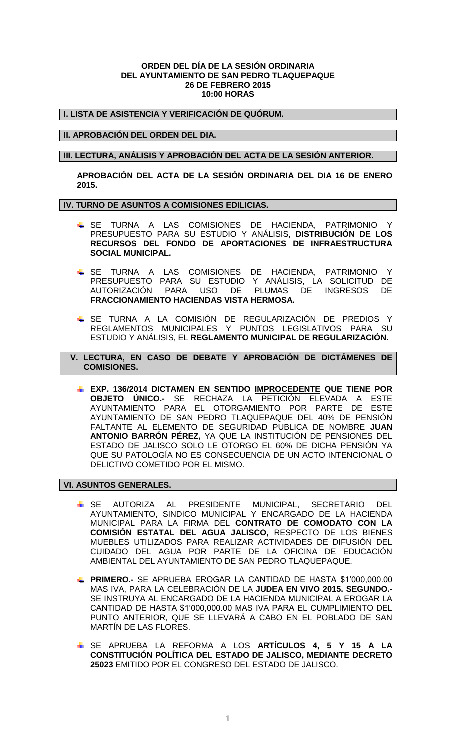#### **ORDEN DEL DÍA DE LA SESIÓN ORDINARIA DEL AYUNTAMIENTO DE SAN PEDRO TLAQUEPAQUE 26 DE FEBRERO 2015 10:00 HORAS**

**I. LISTA DE ASISTENCIA Y VERIFICACIÓN DE QUÓRUM.**

## **II. APROBACIÓN DEL ORDEN DEL DIA.**

### **III. LECTURA, ANÁLISIS Y APROBACIÓN DEL ACTA DE LA SESIÓN ANTERIOR.**

**APROBACIÓN DEL ACTA DE LA SESIÓN ORDINARIA DEL DIA 16 DE ENERO 2015.**

## **IV. TURNO DE ASUNTOS A COMISIONES EDILICIAS.**

- SE TURNA A LAS COMISIONES DE HACIENDA, PATRIMONIO Y PRESUPUESTO PARA SU ESTUDIO Y ANÁLISIS, **DISTRIBUCIÓN DE LOS RECURSOS DEL FONDO DE APORTACIONES DE INFRAESTRUCTURA SOCIAL MUNICIPAL.**
- SE TURNA A LAS COMISIONES DE HACIENDA, PATRIMONIO Y PRESUPUESTO PARA SU ESTUDIO Y ANÁLISIS, LA SOLICITUD DE AUTORIZACIÓN PARA USO DE PLUMAS DE INGRESOS DE **FRACCIONAMIENTO HACIENDAS VISTA HERMOSA.**
- SE TURNA A LA COMISIÓN DE REGULARIZACIÓN DE PREDIOS Y REGLAMENTOS MUNICIPALES Y PUNTOS LEGISLATIVOS PARA SU ESTUDIO Y ANÁLISIS, EL **REGLAMENTO MUNICIPAL DE REGULARIZACIÓN.**

 **V. LECTURA, EN CASO DE DEBATE Y APROBACIÓN DE DICTÁMENES DE COMISIONES.**

**EXP. 136/2014 DICTAMEN EN SENTIDO IMPROCEDENTE QUE TIENE POR OBJETO ÚNICO.-** SE RECHAZA LA PETICIÓN ELEVADA A ESTE AYUNTAMIENTO PARA EL OTORGAMIENTO POR PARTE DE ESTE AYUNTAMIENTO DE SAN PEDRO TLAQUEPAQUE DEL 40% DE PENSIÓN FALTANTE AL ELEMENTO DE SEGURIDAD PUBLICA DE NOMBRE **JUAN ANTONIO BARRÓN PÉREZ,** YA QUE LA INSTITUCIÓN DE PENSIONES DEL ESTADO DE JALISCO SOLO LE OTORGO EL 60% DE DICHA PENSIÓN YA QUE SU PATOLOGÍA NO ES CONSECUENCIA DE UN ACTO INTENCIONAL O DELICTIVO COMETIDO POR EL MISMO.

#### **VI. ASUNTOS GENERALES.**

- SE AUTORIZA AL PRESIDENTE MUNICIPAL, SECRETARIO DEL AYUNTAMIENTO, SINDICO MUNICIPAL Y ENCARGADO DE LA HACIENDA MUNICIPAL PARA LA FIRMA DEL **CONTRATO DE COMODATO CON LA COMISIÓN ESTATAL DEL AGUA JALISCO,** RESPECTO DE LOS BIENES MUEBLES UTILIZADOS PARA REALIZAR ACTIVIDADES DE DIFUSIÓN DEL CUIDADO DEL AGUA POR PARTE DE LA OFICINA DE EDUCACIÓN AMBIENTAL DEL AYUNTAMIENTO DE SAN PEDRO TLAQUEPAQUE.
- **PRIMERO.-** SE APRUEBA EROGAR LA CANTIDAD DE HASTA \$1'000,000.00 MAS IVA, PARA LA CELEBRACIÓN DE LA **JUDEA EN VIVO 2015. SEGUNDO.-** SE INSTRUYA AL ENCARGADO DE LA HACIENDA MUNICIPAL A EROGAR LA CANTIDAD DE HASTA \$1'000,000.00 MAS IVA PARA EL CUMPLIMIENTO DEL PUNTO ANTERIOR, QUE SE LLEVARÁ A CABO EN EL POBLADO DE SAN MARTÍN DE LAS FLORES.
- SE APRUEBA LA REFORMA A LOS **ARTÍCULOS 4, 5 Y 15 A LA CONSTITUCIÓN POLÍTICA DEL ESTADO DE JALISCO, MEDIANTE DECRETO 25023** EMITIDO POR EL CONGRESO DEL ESTADO DE JALISCO.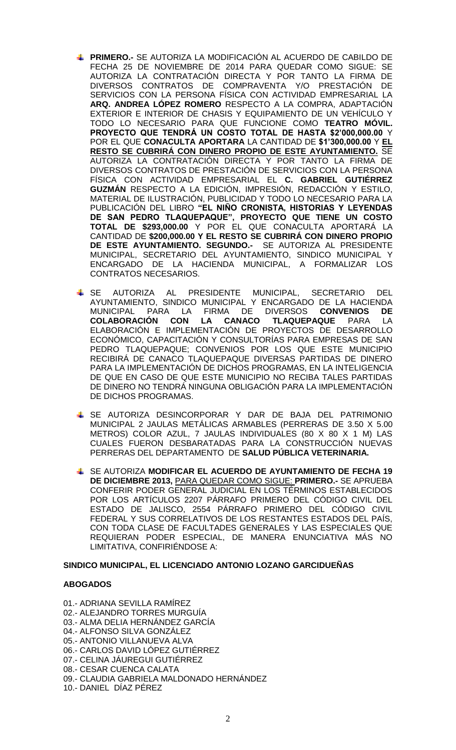- **PRIMERO.-** SE AUTORIZA LA MODIFICACIÓN AL ACUERDO DE CABILDO DE FECHA 25 DE NOVIEMBRE DE 2014 PARA QUEDAR COMO SIGUE: SE AUTORIZA LA CONTRATACIÓN DIRECTA Y POR TANTO LA FIRMA DE DIVERSOS CONTRATOS DE COMPRAVENTA Y/O PRESTACIÓN DE SERVICIOS CON LA PERSONA FÍSICA CON ACTIVIDAD EMPRESARIAL LA **ARQ. ANDREA LÓPEZ ROMERO** RESPECTO A LA COMPRA, ADAPTACIÓN EXTERIOR E INTERIOR DE CHASIS Y EQUIPAMIENTO DE UN VEHÍCULO Y TODO LO NECESARIO PARA QUE FUNCIONE COMO **TEATRO MÓVIL. PROYECTO QUE TENDRÁ UN COSTO TOTAL DE HASTA \$2'000,000.00** Y POR EL QUE **CONACULTA APORTARA** LA CANTIDAD DE **\$1'300,000.00** Y **EL RESTO SE CUBRIRÁ CON DINERO PROPIO DE ESTE AYUNTAMIENTO.** SE AUTORIZA LA CONTRATACIÓN DIRECTA Y POR TANTO LA FIRMA DE DIVERSOS CONTRATOS DE PRESTACIÓN DE SERVICIOS CON LA PERSONA FÍSICA CON ACTIVIDAD EMPRESARIAL EL **C. GABRIEL GUTIÉRREZ GUZMÁN** RESPECTO A LA EDICIÓN, IMPRESIÓN, REDACCIÓN Y ESTILO, MATERIAL DE ILUSTRACIÓN, PUBLICIDAD Y TODO LO NECESARIO PARA LA PUBLICACIÓN DEL LIBRO **"EL NIÑO CRONISTA, HISTORIAS Y LEYENDAS DE SAN PEDRO TLAQUEPAQUE", PROYECTO QUE TIENE UN COSTO TOTAL DE \$293,000.00** Y POR EL QUE CONACULTA APORTARÁ LA CANTIDAD DE **\$200,000.00 Y EL RESTO SE CUBRIRÁ CON DINERO PROPIO DE ESTE AYUNTAMIENTO. SEGUNDO.-** SE AUTORIZA AL PRESIDENTE MUNICIPAL, SECRETARIO DEL AYUNTAMIENTO, SINDICO MUNICIPAL Y ENCARGADO DE LA HACIENDA MUNICIPAL, A FORMALIZAR LOS CONTRATOS NECESARIOS.
- SE AUTORIZA AL PRESIDENTE MUNICIPAL, SECRETARIO DEL AYUNTAMIENTO, SINDICO MUNICIPAL Y ENCARGADO DE LA HACIENDA MUNICIPAL PARA LA FIRMA DE DIVERSOS **CONVENIOS DE COLABORACIÓN CON LA CANACO TLAQUEPAQUE** PARA LA ELABORACIÓN E IMPLEMENTACIÓN DE PROYECTOS DE DESARROLLO ECONÓMICO, CAPACITACIÓN Y CONSULTORÍAS PARA EMPRESAS DE SAN PEDRO TLAQUEPAQUE; CONVENIOS POR LOS QUE ESTE MUNICIPIO RECIBIRÁ DE CANACO TLAQUEPAQUE DIVERSAS PARTIDAS DE DINERO PARA LA IMPLEMENTACIÓN DE DICHOS PROGRAMAS, EN LA INTELIGENCIA DE QUE EN CASO DE QUE ESTE MUNICIPIO NO RECIBA TALES PARTIDAS DE DINERO NO TENDRÁ NINGUNA OBLIGACIÓN PARA LA IMPLEMENTACIÓN DE DICHOS PROGRAMAS.
- SE AUTORIZA DESINCORPORAR Y DAR DE BAJA DEL PATRIMONIO MUNICIPAL 2 JAULAS METÁLICAS ARMABLES (PERRERAS DE 3.50 X 5.00 METROS) COLOR AZUL, 7 JAULAS INDIVIDUALES (80 X 80 X 1 M) LAS CUALES FUERON DESBARATADAS PARA LA CONSTRUCCIÓN NUEVAS PERRERAS DEL DEPARTAMENTO DE **SALUD PÚBLICA VETERINARIA.**
- SE AUTORIZA **MODIFICAR EL ACUERDO DE AYUNTAMIENTO DE FECHA 19 DE DICIEMBRE 2013,** PARA QUEDAR COMO SIGUE: **PRIMERO.-** SE APRUEBA CONFERIR PODER GENERAL JUDICIAL EN LOS TÉRMINOS ESTABLECIDOS POR LOS ARTÍCULOS 2207 PÁRRAFO PRIMERO DEL CÓDIGO CIVIL DEL ESTADO DE JALISCO, 2554 PÁRRAFO PRIMERO DEL CÓDIGO CIVIL FEDERAL Y SUS CORRELATIVOS DE LOS RESTANTES ESTADOS DEL PAÍS, CON TODA CLASE DE FACULTADES GENERALES Y LAS ESPECIALES QUE REQUIERAN PODER ESPECIAL, DE MANERA ENUNCIATIVA MÁS NO LIMITATIVA, CONFIRIÉNDOSE A:

#### **SINDICO MUNICIPAL, EL LICENCIADO ANTONIO LOZANO GARCIDUEÑAS**

#### **ABOGADOS**

01.- ADRIANA SEVILLA RAMÍREZ 02.- ALEJANDRO TORRES MURGUÍA 03.- ALMA DELIA HERNÁNDEZ GARCÍA 04.- ALFONSO SILVA GONZÁLEZ 05.- ANTONIO VILLANUEVA ALVA 06.- CARLOS DAVID LÓPEZ GUTIÉRREZ 07.- CELINA JÁUREGUI GUTIÉRREZ 08.- CESAR CUENCA CALATA 09.- CLAUDIA GABRIELA MALDONADO HERNÁNDEZ 10.- DANIEL DÍAZ PÉREZ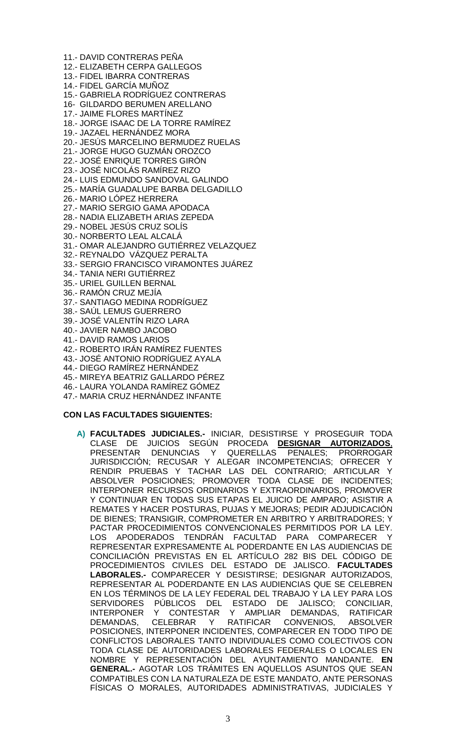11.- DAVID CONTRERAS PEÑA

12.- ELIZABETH CERPA GALLEGOS

- 13.- FIDEL IBARRA CONTRERAS
- 14.- FIDEL GARCÍA MUÑOZ
- 15.- GABRIELA RODRÍGUEZ CONTRERAS
- 16- GILDARDO BERUMEN ARELLANO
- 17.- JAIME FLORES MARTÍNEZ
- 18.- JORGE ISAAC DE LA TORRE RAMÍREZ
- 19.- JAZAEL HERNÁNDEZ MORA
- 20.- JESÚS MARCELINO BERMUDEZ RUELAS
- 21.- JORGE HUGO GUZMÁN OROZCO
- 22.- JOSÉ ENRIQUE TORRES GIRÓN
- 23.- JOSÉ NICOLÁS RAMÍREZ RIZO
- 24.- LUIS EDMUNDO SANDOVAL GALINDO
- 25.- MARÍA GUADALUPE BARBA DELGADILLO
- 26.- MARIO LÓPEZ HERRERA
- 27.- MARIO SERGIO GAMA APODACA
- 28.- NADIA ELIZABETH ARIAS ZEPEDA
- 29.- NOBEL JESÚS CRUZ SOLÍS
- 30.- NORBERTO LEAL ALCALÁ
- 31.- OMAR ALEJANDRO GUTIÉRREZ VELAZQUEZ
- 32.- REYNALDO VÁZQUEZ PERALTA
- 33.- SERGIO FRANCISCO VIRAMONTES JUÁREZ
- 34.- TANIA NERI GUTIÉRREZ
- 35.- URIEL GUILLEN BERNAL
- 36.- RAMÓN CRUZ MEJÍA
- 37.- SANTIAGO MEDINA RODRÍGUEZ
- 38.- SAÚL LEMUS GUERRERO
- 39.- JOSÉ VALENTÍN RIZO LARA
- 40.- JAVIER NAMBO JACOBO
- 41.- DAVID RAMOS LARIOS
- 42.- ROBERTO IRÁN RAMÍREZ FUENTES
- 43.- JOSÉ ANTONIO RODRÍGUEZ AYALA
- 44.- DIEGO RAMÍREZ HERNÁNDEZ
- 45.- MIREYA BEATRIZ GALLARDO PÉREZ
- 46.- LAURA YOLANDA RAMÍREZ GÓMEZ
- 47.- MARIA CRUZ HERNÁNDEZ INFANTE

# **CON LAS FACULTADES SIGUIENTES:**

**A) FACULTADES JUDICIALES.-** INICIAR, DESISTIRSE Y PROSEGUIR TODA CLASE DE JUICIOS SEGÚN PROCEDA **DESIGNAR AUTORIZADOS**, PRESENTAR DENUNCIAS Y QUERELLAS PENALES; PRORROGAR JURISDICCIÓN; RECUSAR Y ALEGAR INCOMPETENCIAS; OFRECER Y RENDIR PRUEBAS Y TACHAR LAS DEL CONTRARIO; ARTICULAR Y ABSOLVER POSICIONES; PROMOVER TODA CLASE DE INCIDENTES; INTERPONER RECURSOS ORDINARIOS Y EXTRAORDINARIOS, PROMOVER Y CONTINUAR EN TODAS SUS ETAPAS EL JUICIO DE AMPARO; ASISTIR A REMATES Y HACER POSTURAS, PUJAS Y MEJORAS; PEDIR ADJUDICACIÓN DE BIENES; TRANSIGIR, COMPROMETER EN ARBITRO Y ARBITRADORES; Y PACTAR PROCEDIMIENTOS CONVENCIONALES PERMITIDOS POR LA LEY. LOS APODERADOS TENDRÁN FACULTAD PARA COMPARECER REPRESENTAR EXPRESAMENTE AL PODERDANTE EN LAS AUDIENCIAS DE CONCILIACIÓN PREVISTAS EN EL ARTÍCULO 282 BIS DEL CÓDIGO DE PROCEDIMIENTOS CIVILES DEL ESTADO DE JALISCO. **FACULTADES LABORALES.-** COMPARECER Y DESISTIRSE; DESIGNAR AUTORIZADOS, REPRESENTAR AL PODERDANTE EN LAS AUDIENCIAS QUE SE CELEBREN EN LOS TÉRMINOS DE LA LEY FEDERAL DEL TRABAJO Y LA LEY PARA LOS SERVIDORES PÚBLICOS DEL ESTADO DE JALISCO; CONCILIAR,<br>INTERPONER Y CONTESTAR Y AMPLIAR DEMANDAS, RATIFICAR INTERPONER Y CONTESTAR Y AMPLIAR DEMANDAS, RATIFICAR DEMANDAS, CELEBRAR Y RATIFICAR CONVENIOS, ABSOLVER POSICIONES, INTERPONER INCIDENTES, COMPARECER EN TODO TIPO DE CONFLICTOS LABORALES TANTO INDIVIDUALES COMO COLECTIVOS CON TODA CLASE DE AUTORIDADES LABORALES FEDERALES O LOCALES EN NOMBRE Y REPRESENTACIÓN DEL AYUNTAMIENTO MANDANTE. **EN GENERAL.-** AGOTAR LOS TRÁMITES EN AQUELLOS ASUNTOS QUE SEAN COMPATIBLES CON LA NATURALEZA DE ESTE MANDATO, ANTE PERSONAS FÍSICAS O MORALES, AUTORIDADES ADMINISTRATIVAS, JUDICIALES Y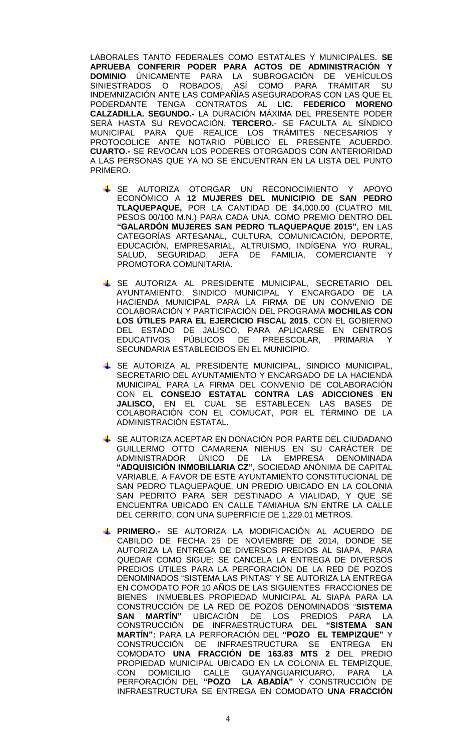LABORALES TANTO FEDERALES COMO ESTATALES Y MUNICIPALES. **SE APRUEBA CONFERIR PODER PARA ACTOS DE ADMINISTRACIÓN Y DOMINIO** ÚNICAMENTE PARA LA SUBROGACIÓN DE VEHÍCULOS SINIESTRADOS O ROBADOS, ASÍ COMO PARA TRAMITAR SU INDEMNIZACIÓN ANTE LAS COMPAÑÍAS ASEGURADORAS CON LAS QUE EL PODERDANTE TENGA CONTRATOS AL **LIC. FEDERICO MORENO CALZADILLA. SEGUNDO.-** LA DURACIÓN MÁXIMA DEL PRESENTE PODER SERÁ HASTA SU REVOCACIÓN. **TERCERO.**- SE FACULTA AL SÍNDICO MUNICIPAL PARA QUE REALICE LOS TRÁMITES NECESARIOS Y PROTOCOLICE ANTE NOTARIO PÚBLICO EL PRESENTE ACUERDO. **CUARTO.-** SE REVOCAN LOS PODERES OTORGADOS CON ANTERIORIDAD A LAS PERSONAS QUE YA NO SE ENCUENTRAN EN LA LISTA DEL PUNTO PRIMERO.

- $\overline{+}$  SE AUTORIZA OTORGAR UN RECONOCIMIENTO Y APOYO ECONÓMICO A **12 MUJERES DEL MUNICIPIO DE SAN PEDRO TLAQUEPAQUE,** POR LA CANTIDAD DE \$4,000.00 (CUATRO MIL PESOS 00/100 M.N.) PARA CADA UNA, COMO PREMIO DENTRO DEL **"GALARDÓN MUJERES SAN PEDRO TLAQUEPAQUE 2015",** EN LAS CATEGORÍAS ARTESANAL, CULTURA, COMUNICACIÓN, DEPORTE, EDUCACIÓN, EMPRESARIAL, ALTRUISMO, INDÍGENA Y/O RURAL, SALUD, SEGURIDAD, JEFA DE FAMILIA, COMERCIANTE Y PROMOTORA COMUNITARIA.
- SE AUTORIZA AL PRESIDENTE MUNICIPAL, SECRETARIO DEL AYUNTAMIENTO, SINDICO MUNICIPAL Y ENCARGADO DE LA HACIENDA MUNICIPAL PARA LA FIRMA DE UN CONVENIO DE COLABORACIÓN Y PARTICIPACIÓN DEL PROGRAMA **MOCHILAS CON LOS ÚTILES PARA EL EJERCICIO FISCAL 2015**, CON EL GOBIERNO DEL ESTADO DE JALISCO, PARA APLICARSE EN CENTROS EDUCATIVOS PÚBLICOS DE PREESCOLAR, PRIMARIA Y SECUNDARIA ESTABLECIDOS EN EL MUNICIPIO.
- SE AUTORIZA AL PRESIDENTE MUNICIPAL, SINDICO MUNICIPAL, SECRETARIO DEL AYUNTAMIENTO Y ENCARGADO DE LA HACIENDA MUNICIPAL PARA LA FIRMA DEL CONVENIO DE COLABORACIÓN CON EL **CONSEJO ESTATAL CONTRA LAS ADICCIONES EN JALISCO,** EN EL CUAL SE ESTABLECEN LAS BASES DE COLABORACIÓN CON EL COMUCAT, POR EL TÉRMINO DE LA ADMINISTRACIÓN ESTATAL.
- SE AUTORIZA ACEPTAR EN DONACIÓN POR PARTE DEL CIUDADANO GUILLERMO OTTO CAMARENA NIEHUS EN SU CARÁCTER DE ADMINISTRADOR ÚNICO DE LA EMPRESA DENOMINADA **"ADQUISICIÓN INMOBILIARIA CZ",** SOCIEDAD ANÓNIMA DE CAPITAL VARIABLE, A FAVOR DE ESTE AYUNTAMIENTO CONSTITUCIONAL DE SAN PEDRO TLAQUEPAQUE, UN PREDIO UBICADO EN LA COLONIA SAN PEDRITO PARA SER DESTINADO A VIALIDAD, Y QUE SE ENCUENTRA UBICADO EN CALLE TAMIAHUA S/N ENTRE LA CALLE DEL CERRITO, CON UNA SUPERFICIE DE 1,229.01 METROS.
- **PRIMERO.-** SE AUTORIZA LA MODIFICACIÓN AL ACUERDO DE CABILDO DE FECHA 25 DE NOVIEMBRE DE 2014, DONDE SE AUTORIZA LA ENTREGA DE DIVERSOS PREDIOS AL SIAPA, PARA QUEDAR COMO SIGUE: SE CANCELA LA ENTREGA DE DIVERSOS PREDIOS ÚTILES PARA LA PERFORACIÓN DE LA RED DE POZOS DENOMINADOS "SISTEMA LAS PINTAS" Y SE AUTORIZA LA ENTREGA EN COMODATO POR 10 AÑOS DE LAS SIGUIENTES FRACCIONES DE BIENES INMUEBLES PROPIEDAD MUNICIPAL AL SIAPA PARA LA CONSTRUCCIÓN DE LA RED DE POZOS DENOMINADOS "**SISTEMA SAN MARTÍN"** UBICACIÓN DE LOS PREDIOS PARA LA CONSTRUCCIÓN DE INFRAESTRUCTURA DEL **"SISTEMA SAN MARTÍN":** PARA LA PERFORACIÓN DEL **"POZO EL TEMPIZQUE"** Y CONSTRUCCIÓN DE INFRAESTRUCTURA SE ENTREGA EN COMODATO **UNA FRACCIÓN DE 163.83 MTS 2** DEL PREDIO PROPIEDAD MUNICIPAL UBICADO EN LA COLONIA EL TEMPIZQUE, CON DOMICILIO CALLE GUAYANGUARICUARO**.** PARA LA PERFORACIÓN DEL **"POZO LA ABADÍA"** Y CONSTRUCCIÓN DE INFRAESTRUCTURA SE ENTREGA EN COMODATO **UNA FRACCIÓN**